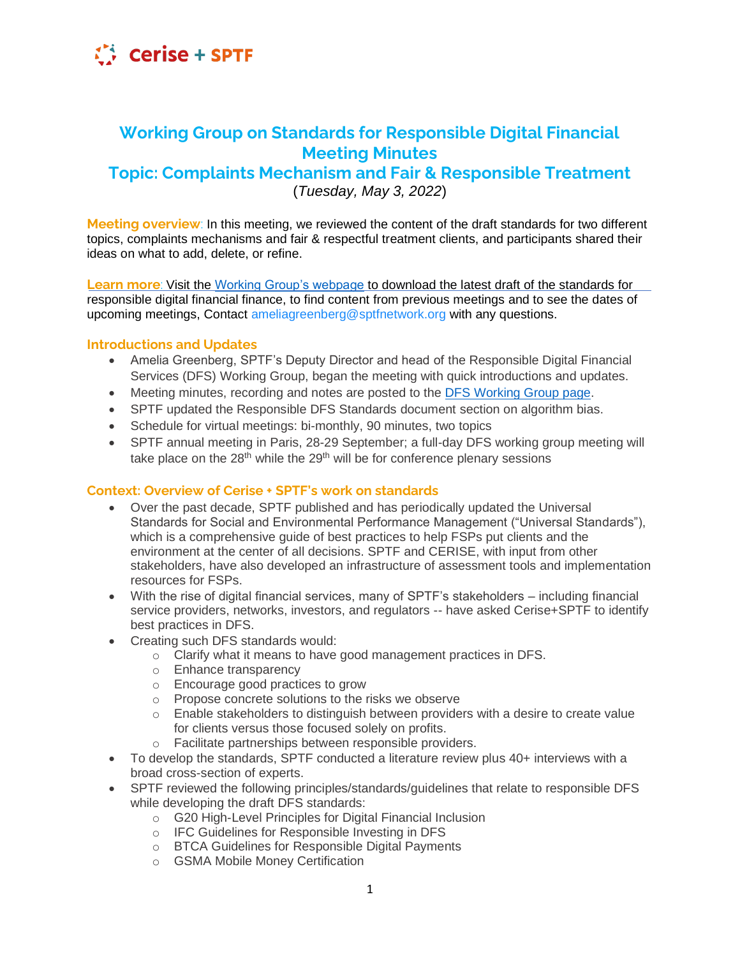

# **Working Group on Standards for Responsible Digital Financial Meeting Minutes**

## **Topic: Complaints Mechanism and Fair & Responsible Treatment** (*Tuesday, May 3, 2022*)

**Meeting overview**: In this meeting, we reviewed the content of the draft standards for two different topics, complaints mechanisms and fair & respectful treatment clients, and participants shared their ideas on what to add, delete, or refine.

**Learn more**: Visit the [Working Group's webpage](https://sptf.info/working-groups/dfs-standards) to download the latest draft of the standards for responsible digital financial finance, to find content from previous meetings and to see the dates of upcoming meetings, Contact ameliagreenberg@sptfnetwork.org with any questions.

#### **Introductions and Updates**

- Amelia Greenberg, SPTF's Deputy Director and head of the Responsible Digital Financial Services (DFS) Working Group, began the meeting with quick introductions and updates.
- Meeting minutes, recording and notes are posted to the [DFS Working Group page.](https://sptf.info/working-groups/dfs-standards)
- SPTF updated the Responsible DFS Standards document section on algorithm bias.
- Schedule for virtual meetings: bi-monthly, 90 minutes, two topics
- SPTF annual meeting in Paris, 28-29 September; a full-day DFS working group meeting will take place on the 28<sup>th</sup> while the 29<sup>th</sup> will be for conference plenary sessions

#### **Context: Overview of Cerise + SPTF's work on standards**

- Over the past decade, SPTF published and has periodically updated the Universal Standards for Social and Environmental Performance Management ("Universal Standards"), which is a comprehensive guide of best practices to help FSPs put clients and the environment at the center of all decisions. SPTF and CERISE, with input from other stakeholders, have also developed an infrastructure of assessment tools and implementation resources for FSPs.
- With the rise of digital financial services, many of SPTF's stakeholders including financial service providers, networks, investors, and regulators -- have asked Cerise+SPTF to identify best practices in DFS.
- Creating such DFS standards would:
	- o Clarify what it means to have good management practices in DFS.
	- o Enhance transparency
	- o Encourage good practices to grow
	- o Propose concrete solutions to the risks we observe
	- $\circ$  Enable stakeholders to distinguish between providers with a desire to create value for clients versus those focused solely on profits.
	- o Facilitate partnerships between responsible providers.
- To develop the standards, SPTF conducted a literature review plus 40+ interviews with a broad cross-section of experts.
- SPTF reviewed the following principles/standards/guidelines that relate to responsible DFS while developing the draft DFS standards:
	- o G20 High-Level Principles for Digital Financial Inclusion
	- o IFC Guidelines for Responsible Investing in DFS
	- o BTCA Guidelines for Responsible Digital Payments
	- o GSMA Mobile Money Certification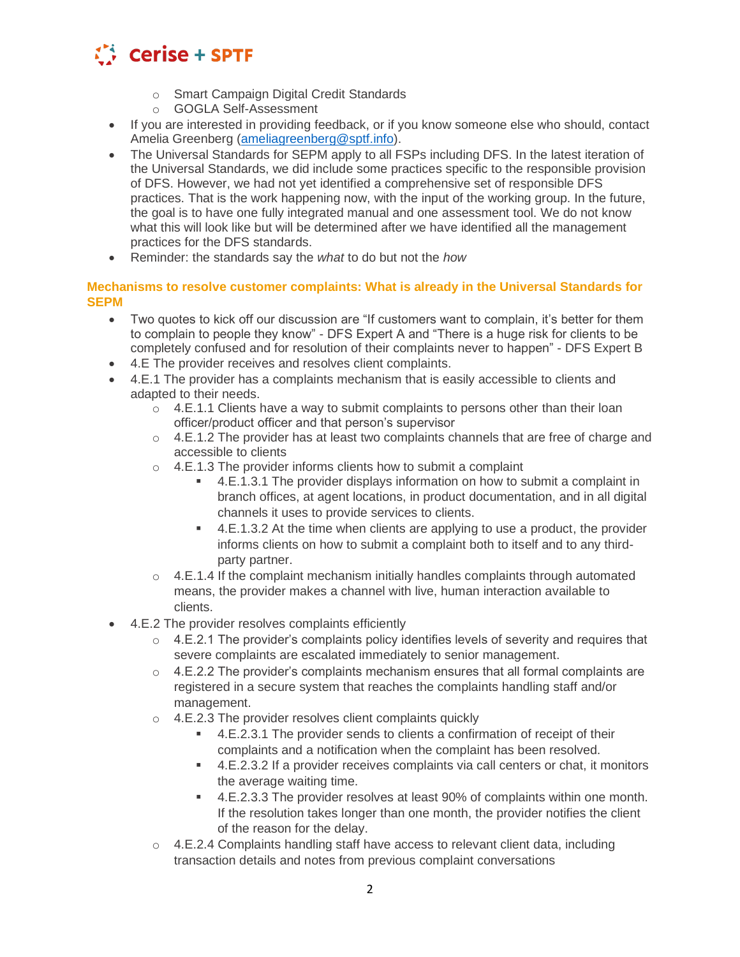

- o Smart Campaign Digital Credit Standards
- o GOGLA Self-Assessment
- If you are interested in providing feedback, or if you know someone else who should, contact Amelia Greenberg [\(ameliagreenberg@sptf.info\)](mailto:ameliagreenberg@sptf.info).
- The Universal Standards for SEPM apply to all FSPs including DFS. In the latest iteration of the Universal Standards, we did include some practices specific to the responsible provision of DFS. However, we had not yet identified a comprehensive set of responsible DFS practices. That is the work happening now, with the input of the working group. In the future, the goal is to have one fully integrated manual and one assessment tool. We do not know what this will look like but will be determined after we have identified all the management practices for the DFS standards.
- Reminder: the standards say the *what* to do but not the *how*

**Mechanisms to resolve customer complaints: What is already in the Universal Standards for SEPM**

- Two quotes to kick off our discussion are "If customers want to complain, it's better for them to complain to people they know" - DFS Expert A and "There is a huge risk for clients to be completely confused and for resolution of their complaints never to happen" - DFS Expert B
- 4.E The provider receives and resolves client complaints.
- 4.E.1 The provider has a complaints mechanism that is easily accessible to clients and adapted to their needs.
	- $\circ$  4.E.1.1 Clients have a way to submit complaints to persons other than their loan officer/product officer and that person's supervisor
	- $\circ$  4.E.1.2 The provider has at least two complaints channels that are free of charge and accessible to clients
	- $\circ$  4.E.1.3 The provider informs clients how to submit a complaint
		- 4.E.1.3.1 The provider displays information on how to submit a complaint in branch offices, at agent locations, in product documentation, and in all digital channels it uses to provide services to clients.
		- 4.E.1.3.2 At the time when clients are applying to use a product, the provider informs clients on how to submit a complaint both to itself and to any thirdparty partner.
	- $\circ$  4.E.1.4 If the complaint mechanism initially handles complaints through automated means, the provider makes a channel with live, human interaction available to clients.
- 4.E.2 The provider resolves complaints efficiently
	- $\circ$  4.E.2.1 The provider's complaints policy identifies levels of severity and requires that severe complaints are escalated immediately to senior management.
	- $\circ$  4.E.2.2 The provider's complaints mechanism ensures that all formal complaints are registered in a secure system that reaches the complaints handling staff and/or management.
	- o 4.E.2.3 The provider resolves client complaints quickly
		- 4.E.2.3.1 The provider sends to clients a confirmation of receipt of their complaints and a notification when the complaint has been resolved.
		- 4.E.2.3.2 If a provider receives complaints via call centers or chat, it monitors the average waiting time.
		- 4.E.2.3.3 The provider resolves at least 90% of complaints within one month. If the resolution takes longer than one month, the provider notifies the client of the reason for the delay.
	- $\circ$  4.E.2.4 Complaints handling staff have access to relevant client data, including transaction details and notes from previous complaint conversations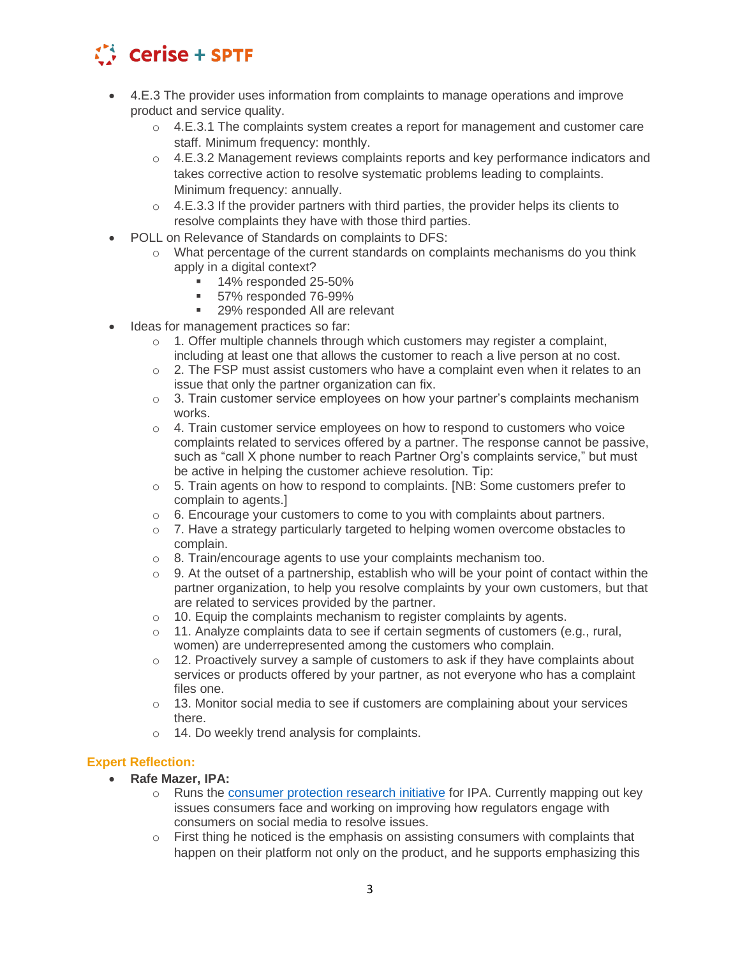

- 4.E.3 The provider uses information from complaints to manage operations and improve product and service quality.
	- $\circ$  4.E.3.1 The complaints system creates a report for management and customer care staff. Minimum frequency: monthly.
	- $\circ$  4.E.3.2 Management reviews complaints reports and key performance indicators and takes corrective action to resolve systematic problems leading to complaints. Minimum frequency: annually.
	- $\circ$  4.E.3.3 If the provider partners with third parties, the provider helps its clients to resolve complaints they have with those third parties.
- POLL on Relevance of Standards on complaints to DFS:
	- $\circ$  What percentage of the current standards on complaints mechanisms do you think apply in a digital context?
		- 14% responded 25-50%
		- 57% responded 76-99%
		- 29% responded All are relevant
- Ideas for management practices so far:
	- $\circ$  1. Offer multiple channels through which customers may register a complaint, including at least one that allows the customer to reach a live person at no cost.
	- $\circ$  2. The FSP must assist customers who have a complaint even when it relates to an issue that only the partner organization can fix.
	- $\circ$  3. Train customer service employees on how your partner's complaints mechanism works.
	- $\circ$  4. Train customer service employees on how to respond to customers who voice complaints related to services offered by a partner. The response cannot be passive, such as "call X phone number to reach Partner Org's complaints service," but must be active in helping the customer achieve resolution. Tip:
	- $\circ$  5. Train agents on how to respond to complaints. [NB: Some customers prefer to complain to agents.]
	- $\circ$  6. Encourage your customers to come to you with complaints about partners.
	- $\circ$  7. Have a strategy particularly targeted to helping women overcome obstacles to complain.
	- o 8. Train/encourage agents to use your complaints mechanism too.
	- $\circ$  9. At the outset of a partnership, establish who will be your point of contact within the partner organization, to help you resolve complaints by your own customers, but that are related to services provided by the partner.
	- o 10. Equip the complaints mechanism to register complaints by agents.
	- $\circ$  11. Analyze complaints data to see if certain segments of customers (e.g., rural, women) are underrepresented among the customers who complain.
	- $\circ$  12. Proactively survey a sample of customers to ask if they have complaints about services or products offered by your partner, as not everyone who has a complaint files one.
	- $\circ$  13. Monitor social media to see if customers are complaining about your services there.
	- o 14. Do weekly trend analysis for complaints.

#### **Expert Reflection:**

- **Rafe Mazer, IPA:** 
	- o Runs the [consumer protection research initiative](https://www.poverty-action.org/program-area/financial-inclusion/consumer-protection-initiative) for IPA. Currently mapping out key issues consumers face and working on improving how regulators engage with consumers on social media to resolve issues.
	- o First thing he noticed is the emphasis on assisting consumers with complaints that happen on their platform not only on the product, and he supports emphasizing this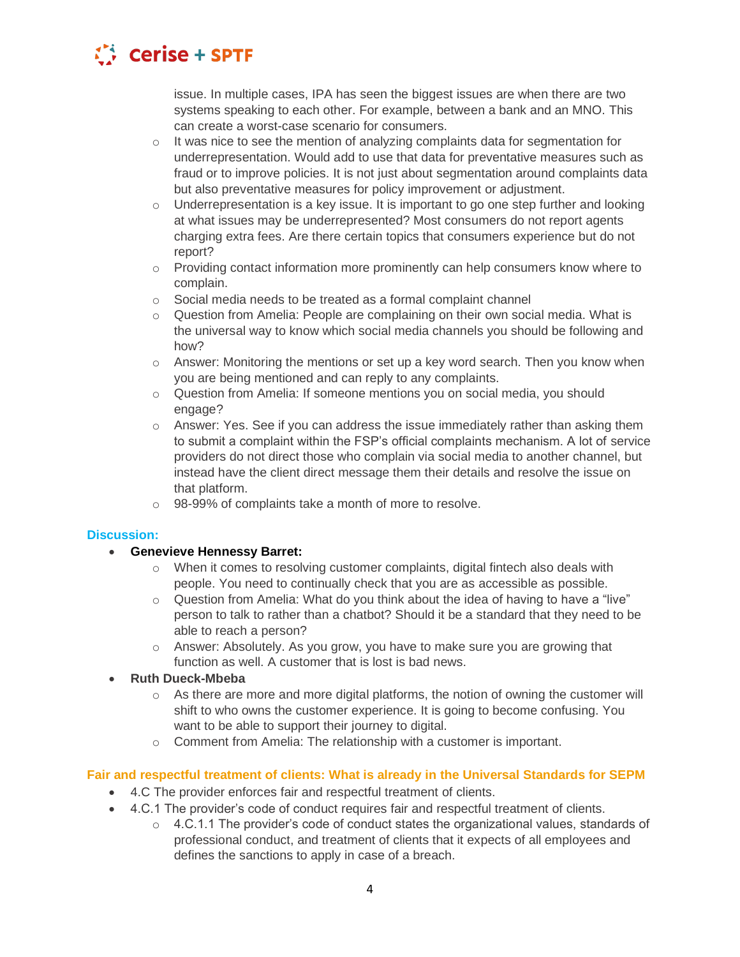

issue. In multiple cases, IPA has seen the biggest issues are when there are two systems speaking to each other. For example, between a bank and an MNO. This can create a worst-case scenario for consumers.

- $\circ$  It was nice to see the mention of analyzing complaints data for segmentation for underrepresentation. Would add to use that data for preventative measures such as fraud or to improve policies. It is not just about segmentation around complaints data but also preventative measures for policy improvement or adjustment.
- $\circ$  Underrepresentation is a key issue. It is important to go one step further and looking at what issues may be underrepresented? Most consumers do not report agents charging extra fees. Are there certain topics that consumers experience but do not report?
- $\circ$  Providing contact information more prominently can help consumers know where to complain.
- o Social media needs to be treated as a formal complaint channel
- $\circ$  Question from Amelia: People are complaining on their own social media. What is the universal way to know which social media channels you should be following and how?
- $\circ$  Answer: Monitoring the mentions or set up a key word search. Then you know when you are being mentioned and can reply to any complaints.
- o Question from Amelia: If someone mentions you on social media, you should engage?
- o Answer: Yes. See if you can address the issue immediately rather than asking them to submit a complaint within the FSP's official complaints mechanism. A lot of service providers do not direct those who complain via social media to another channel, but instead have the client direct message them their details and resolve the issue on that platform.
- o 98-99% of complaints take a month of more to resolve.

### **Discussion:**

- **Genevieve Hennessy Barret:**
	- $\circ$  When it comes to resolving customer complaints, digital fintech also deals with people. You need to continually check that you are as accessible as possible.
	- $\circ$  Question from Amelia: What do you think about the idea of having to have a "live" person to talk to rather than a chatbot? Should it be a standard that they need to be able to reach a person?
	- $\circ$  Answer: Absolutely. As you grow, you have to make sure you are growing that function as well. A customer that is lost is bad news.
- **Ruth Dueck-Mbeba**
	- $\circ$  As there are more and more digital platforms, the notion of owning the customer will shift to who owns the customer experience. It is going to become confusing. You want to be able to support their journey to digital.
	- o Comment from Amelia: The relationship with a customer is important.

#### **Fair and respectful treatment of clients: What is already in the Universal Standards for SEPM**

- 4.C The provider enforces fair and respectful treatment of clients.
- 4.C.1 The provider's code of conduct requires fair and respectful treatment of clients.
	- o 4.C.1.1 The provider's code of conduct states the organizational values, standards of professional conduct, and treatment of clients that it expects of all employees and defines the sanctions to apply in case of a breach.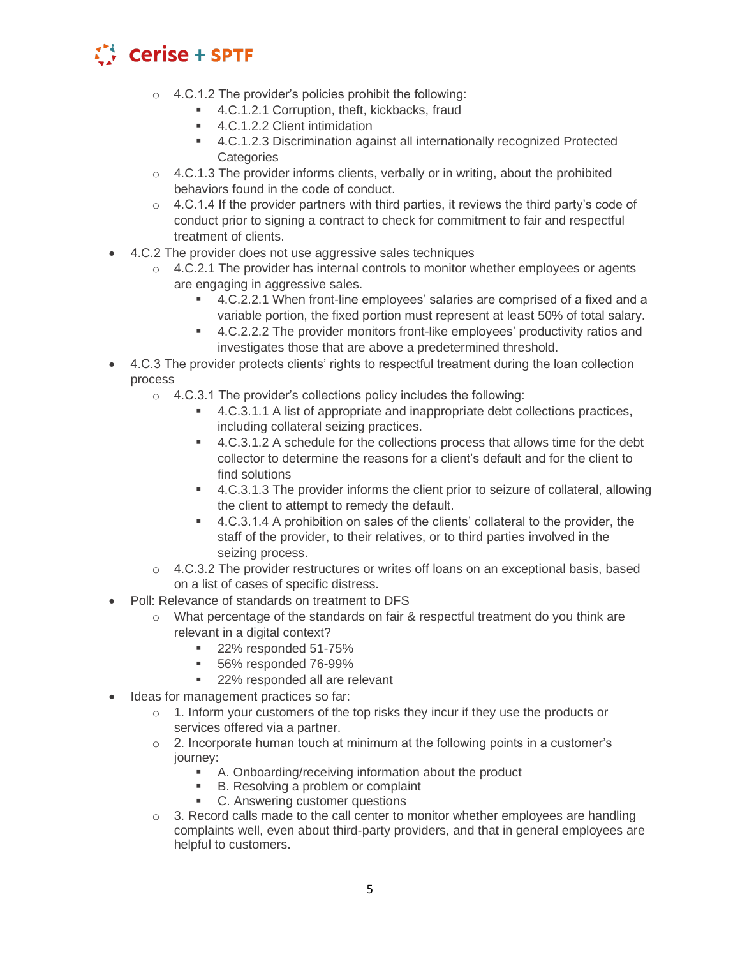

- $\circ$  4.C.1.2 The provider's policies prohibit the following:
	- 4.C.1.2.1 Corruption, theft, kickbacks, fraud
	- 4.C.1.2.2 Client intimidation
	- 4.C.1.2.3 Discrimination against all internationally recognized Protected **Categories**
- o 4.C.1.3 The provider informs clients, verbally or in writing, about the prohibited behaviors found in the code of conduct.
- $\circ$  4.C.1.4 If the provider partners with third parties, it reviews the third party's code of conduct prior to signing a contract to check for commitment to fair and respectful treatment of clients.
- 4.C.2 The provider does not use aggressive sales techniques
	- $\circ$  4.C.2.1 The provider has internal controls to monitor whether employees or agents are engaging in aggressive sales.
		- 4.C.2.2.1 When front-line employees' salaries are comprised of a fixed and a variable portion, the fixed portion must represent at least 50% of total salary.
		- 4.C.2.2.2 The provider monitors front-like employees' productivity ratios and investigates those that are above a predetermined threshold.
- 4.C.3 The provider protects clients' rights to respectful treatment during the loan collection process
	- $\circ$  4.C.3.1 The provider's collections policy includes the following:
		- 4.C.3.1.1 A list of appropriate and inappropriate debt collections practices, including collateral seizing practices.
		- 4.C.3.1.2 A schedule for the collections process that allows time for the debt collector to determine the reasons for a client's default and for the client to find solutions
		- 4.C.3.1.3 The provider informs the client prior to seizure of collateral, allowing the client to attempt to remedy the default.
		- 4.C.3.1.4 A prohibition on sales of the clients' collateral to the provider, the staff of the provider, to their relatives, or to third parties involved in the seizing process.
	- $\circ$  4.C.3.2 The provider restructures or writes off loans on an exceptional basis, based on a list of cases of specific distress.
- Poll: Relevance of standards on treatment to DFS
	- o What percentage of the standards on fair & respectful treatment do you think are relevant in a digital context?
		- 22% responded 51-75%
		- 56% responded 76-99%
		- 22% responded all are relevant
- Ideas for management practices so far:
	- $\circ$  1. Inform your customers of the top risks they incur if they use the products or services offered via a partner.
	- $\circ$  2. Incorporate human touch at minimum at the following points in a customer's journey:
		- A. Onboarding/receiving information about the product
		- B. Resolving a problem or complaint
		- **C.** Answering customer questions
	- $\circ$  3. Record calls made to the call center to monitor whether employees are handling complaints well, even about third-party providers, and that in general employees are helpful to customers.